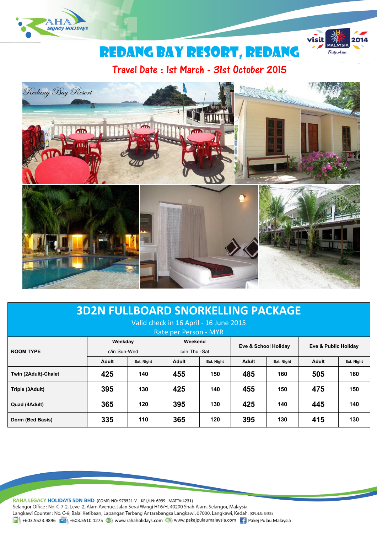

# REDANG BAY RESORT, REDANG

 $\overline{visit}$ 

Truly Asia

Travel Date : 1st March - 31st October 2015



# **3D2N FULLBOARD SNORKELLING PACKAGE**

## Valid check in 16 April - 16 June 2015

| Rate per Person - MYR |                         |            |                          |            |                      |            |                      |            |
|-----------------------|-------------------------|------------|--------------------------|------------|----------------------|------------|----------------------|------------|
| <b>ROOM TYPE</b>      | Weekday<br>c/in Sun-Wed |            | Weekend<br>c/in Thu -Sat |            | Eve & School Holiday |            | Eve & Public Holiday |            |
|                       | <b>Adult</b>            | Ext. Night | <b>Adult</b>             | Ext. Night | Adult                | Ext. Night | <b>Adult</b>         | Ext. Night |
| Twin (2Adult)-Chalet  | 425                     | 140        | 455                      | 150        | 485                  | 160        | 505                  | 160        |
| Triple (3Adult)       | 395                     | 130        | 425                      | 140        | 455                  | 150        | 475                  | 150        |
| Quad (4Adult)         | 365                     | 120        | 395                      | 130        | 425                  | 140        | 445                  | 140        |
| Dorm (Bed Basis)      | 335                     | 110        | 365                      | 120        | 395                  | 130        | 415                  | 130        |

RAHA LEGACY HOLIDAYS SDN BHD (COMP. NO: 973521-V KPL/LN: 6999 MATTA:4231)

Selangor Office : No. C-7-2, Level 2, Alam Avenue, Jalan Serai Wangi H16/H, 40200 Shah Alam, Selangor, Malaysia.

Langkawi Counter: No. C-9, Balai Ketibaan, Lapangan Terbang Antarabangsa Langkawi, 07000, Langkawi, Kedah. (KPL/LN: 3453)

1 +603.5523.9896 +603.5510.1275 (b) www.rahaholidays.com (b) www.pakejpulaumalaysia.com + Pakej Pulau Malaysia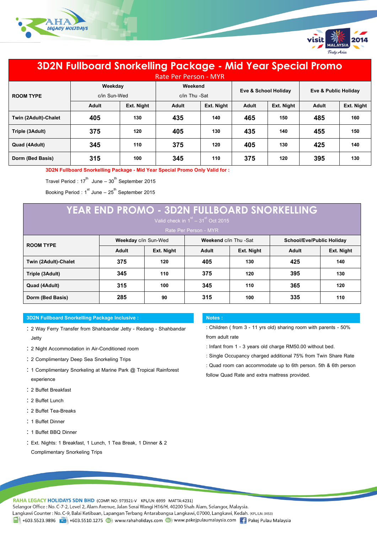



# **3D2N Fullboard Snorkelling Package - Mid Year Special Promo**

| <b>Rate Per Person - MYR</b> |                         |            |                          |            |                      |            |                      |            |
|------------------------------|-------------------------|------------|--------------------------|------------|----------------------|------------|----------------------|------------|
| <b>ROOM TYPE</b>             | Weekday<br>c/in Sun-Wed |            | Weekend<br>c/in Thu -Sat |            | Eve & School Holiday |            | Eve & Public Holiday |            |
|                              | <b>Adult</b>            | Ext. Night | <b>Adult</b>             | Ext. Night | <b>Adult</b>         | Ext. Night | <b>Adult</b>         | Ext. Night |
| Twin (2Adult)-Chalet         | 405                     | 130        | 435                      | 140        | 465                  | 150        | 485                  | 160        |
| Triple (3Adult)              | 375                     | 120        | 405                      | 130        | 435                  | 140        | 455                  | 150        |
| Quad (4Adult)                | 345                     | 110        | 375                      | 120        | 405                  | 130        | 425                  | 140        |
| Dorm (Bed Basis)             | 315                     | 100        | 345                      | 110        | 375                  | 120        | 395                  | 130        |

**3D2N Fullboard Snorkelling Package - Mid Year Special Promo Only Valid for :**

Travel Period : 17 $^{\text{th}}$  June – 30 $^{\text{th}}$  September 2015

Booking Period:1 $^{\rm st}$  June – 25 $^{\rm th}$  September 2015

# **YEAR END PROMO - 3D2N FULLBOARD SNORKELLING**

Rate Per Person - MYR

|                      | <b>Weekday c/in Sun-Wed</b> |            | Weekend c/in Thu -Sat |            | School/Eve/Public Holiday |            |  |
|----------------------|-----------------------------|------------|-----------------------|------------|---------------------------|------------|--|
| <b>ROOM TYPE</b>     |                             |            |                       |            |                           |            |  |
|                      | <b>Adult</b>                | Ext. Night | Adult                 | Ext. Night | <b>Adult</b>              | Ext. Night |  |
| Twin (2Adult)-Chalet | 375                         | 120        | 405                   | 130        | 425                       | 140        |  |
| Triple (3Adult)      | 345                         | 110        | 375                   | 120        | 395                       | 130        |  |
| Quad (4Adult)        | 315                         | 100        | 345                   | 110        | 365                       | 120        |  |
| Dorm (Bed Basis)     | 285                         | 90         | 315                   | 100        | 335                       | 110        |  |

#### **3D2N Fullboard Snorkelling Package Inclusive : Notes :**

- 2 Way Ferry Transfer from Shahbandar Jetty Redang Shahbandar Jetty
- 2 Night Accommodation in Air-Conditioned room
- 2 Complimentary Deep Sea Snorkeling Trips
- : 1 Complimentary Snorkeling at Marine Park @ Tropical Rainforest experience
- 2 Buffet Breakfast
- 2 Buffet Lunch
- 2 Buffet Tea-Breaks
- : 1 Buffet Dinner
- : 1 Buffet BBQ Dinner
- Ext. Nights: 1 Breakfast, 1 Lunch, 1 Tea Break, 1 Dinner & 2 Complimentary Snorkeling Trips

: Children ( from 3 - 11 yrs old) sharing room with parents - 50% from adult rate

- : Infant from 1 3 years old charge RM50.00 without bed.
- : Single Occupancy charged additional 75% from Twin Share Rate
- : Quad room can accommodate up to 6th person. 5th & 6th person

follow Quad Rate and extra mattress provided.

RAHA LEGACY HOLIDAYS SDN BHD (COMP. NO: 973521-V KPL/LN: 6999 MATTA:4231) Selangor Office : No. C-7-2, Level 2, Alam Avenue, Jalan Serai Wangi H16/H, 40200 Shah Alam, Selangor, Malaysia. Langkawi Counter: No. C-9, Balai Ketibaan, Lapangan Terbang Antarabangsa Langkawi, 07000, Langkawi, Kedah. (KPL/LN: 3453) 日 +603.5523.9896 【 19 +603.5510.1275 4】 www.rahaholidays.com ● www.pakejpulaumalaysia.com 【 Pakej Pulau Malaysia